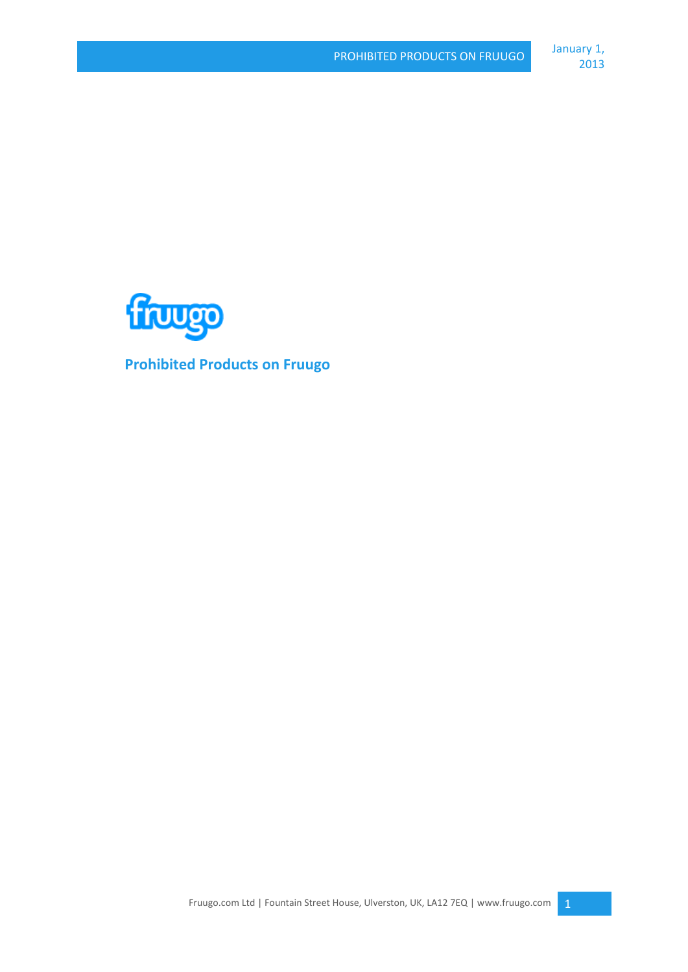

**Prohibited Products on Fruugo**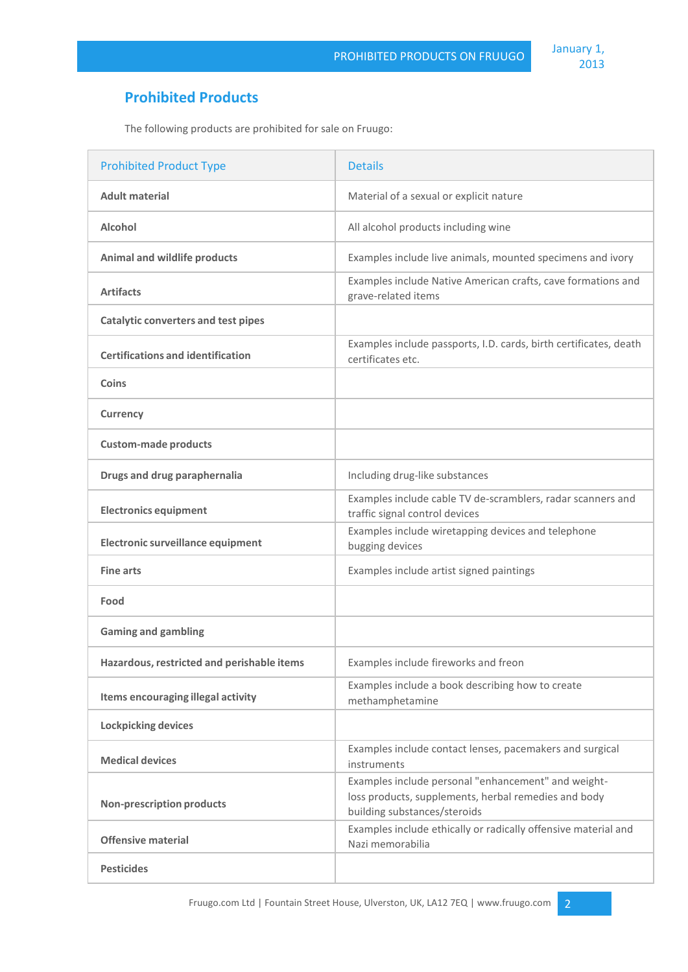## **Prohibited Products**

The following products are prohibited for sale on Fruugo:

| <b>Prohibited Product Type</b>             | <b>Details</b>                                                                                                                              |
|--------------------------------------------|---------------------------------------------------------------------------------------------------------------------------------------------|
| <b>Adult material</b>                      | Material of a sexual or explicit nature                                                                                                     |
| Alcohol                                    | All alcohol products including wine                                                                                                         |
| <b>Animal and wildlife products</b>        | Examples include live animals, mounted specimens and ivory                                                                                  |
| <b>Artifacts</b>                           | Examples include Native American crafts, cave formations and<br>grave-related items                                                         |
| <b>Catalytic converters and test pipes</b> |                                                                                                                                             |
| <b>Certifications and identification</b>   | Examples include passports, I.D. cards, birth certificates, death<br>certificates etc.                                                      |
| Coins                                      |                                                                                                                                             |
| <b>Currency</b>                            |                                                                                                                                             |
| <b>Custom-made products</b>                |                                                                                                                                             |
| Drugs and drug paraphernalia               | Including drug-like substances                                                                                                              |
| <b>Electronics equipment</b>               | Examples include cable TV de-scramblers, radar scanners and<br>traffic signal control devices                                               |
| Electronic surveillance equipment          | Examples include wiretapping devices and telephone<br>bugging devices                                                                       |
| <b>Fine arts</b>                           | Examples include artist signed paintings                                                                                                    |
| Food                                       |                                                                                                                                             |
| <b>Gaming and gambling</b>                 |                                                                                                                                             |
| Hazardous, restricted and perishable items | Examples include fireworks and freon                                                                                                        |
| Items encouraging illegal activity         | Examples include a book describing how to create<br>methamphetamine                                                                         |
| <b>Lockpicking devices</b>                 |                                                                                                                                             |
| <b>Medical devices</b>                     | Examples include contact lenses, pacemakers and surgical<br>instruments                                                                     |
| <b>Non-prescription products</b>           | Examples include personal "enhancement" and weight-<br>loss products, supplements, herbal remedies and body<br>building substances/steroids |
| <b>Offensive material</b>                  | Examples include ethically or radically offensive material and<br>Nazi memorabilia                                                          |
| <b>Pesticides</b>                          |                                                                                                                                             |